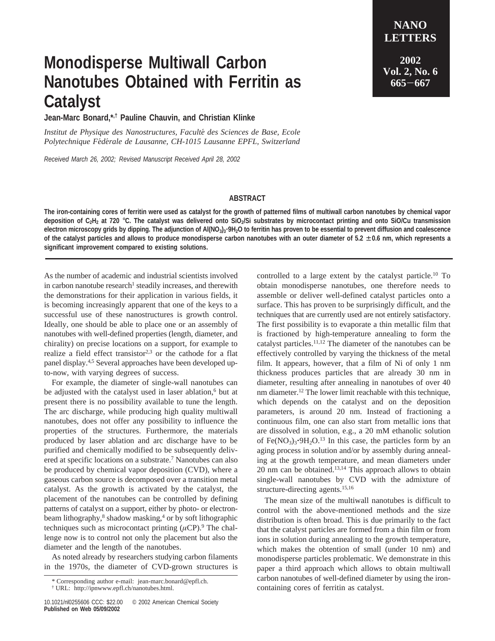## **Monodisperse Multiwall Carbon Nanotubes Obtained with Ferritin as Catalyst**

**Jean-Marc Bonard,\*,† Pauline Chauvin, and Christian Klinke**

*Institut de Physique des Nanostructures, Faculte*´ *des Sciences de Base, Ecole Polytechnique Fe*´*de*´*rale de Lausanne, CH-1015 Lausanne EPFL, Switzerland*

*Received March 26, 2002; Revised Manuscript Received April 28, 2002*

## **NANO LETTERS 2002**

**Vol. 2, No. 6 <sup>665</sup>**-**<sup>667</sup>**

## **ABSTRACT**

**The iron-containing cores of ferritin were used as catalyst for the growth of patterned films of multiwall carbon nanotubes by chemical vapor deposition of C2H2 at 720** °**C. The catalyst was delivered onto SiO2/Si substrates by microcontact printing and onto SiO/Cu transmission** electron microscopy grids by dipping. The adjunction of Al(NO<sub>3</sub>)<sub>3</sub>'9H<sub>2</sub>O to ferritin has proven to be essential to prevent diffusion and coalescence **of the catalyst particles and allows to produce monodisperse carbon nanotubes with an outer diameter of 5.2** ± **0.6 nm, which represents a significant improvement compared to existing solutions.**

As the number of academic and industrial scientists involved in carbon nanotube research<sup>1</sup> steadily increases, and therewith the demonstrations for their application in various fields, it is becoming increasingly apparent that one of the keys to a successful use of these nanostructures is growth control. Ideally, one should be able to place one or an assembly of nanotubes with well-defined properties (length, diameter, and chirality) on precise locations on a support, for example to realize a field effect transistor<sup>2,3</sup> or the cathode for a flat panel display.4,5 Several approaches have been developed upto-now, with varying degrees of success.

For example, the diameter of single-wall nanotubes can be adjusted with the catalyst used in laser ablation,<sup>6</sup> but at present there is no possibility available to tune the length. The arc discharge, while producing high quality multiwall nanotubes, does not offer any possibility to influence the properties of the structures. Furthermore, the materials produced by laser ablation and arc discharge have to be purified and chemically modified to be subsequently delivered at specific locations on a substrate.7 Nanotubes can also be produced by chemical vapor deposition (CVD), where a gaseous carbon source is decomposed over a transition metal catalyst. As the growth is activated by the catalyst, the placement of the nanotubes can be controlled by defining patterns of catalyst on a support, either by photo- or electronbeam lithography,<sup>8</sup> shadow masking,<sup>4</sup> or by soft lithographic techniques such as microcontact printing  $(\mu CP)$ .<sup>9</sup> The challenge now is to control not only the placement but also the diameter and the length of the nanotubes.

As noted already by researchers studying carbon filaments in the 1970s, the diameter of CVD-grown structures is controlled to a large extent by the catalyst particle.<sup>10</sup> To obtain monodisperse nanotubes, one therefore needs to assemble or deliver well-defined catalyst particles onto a surface. This has proven to be surprisingly difficult, and the techniques that are currently used are not entirely satisfactory. The first possibility is to evaporate a thin metallic film that is fractioned by high-temperature annealing to form the catalyst particles.11,12 The diameter of the nanotubes can be effectively controlled by varying the thickness of the metal film. It appears, however, that a film of Ni of only 1 nm thickness produces particles that are already 30 nm in diameter, resulting after annealing in nanotubes of over 40 nm diameter.12 The lower limit reachable with this technique, which depends on the catalyst and on the deposition parameters, is around 20 nm. Instead of fractioning a continuous film, one can also start from metallic ions that are dissolved in solution, e.g., a 20 mM ethanolic solution of Fe(NO<sub>3</sub>)<sub>3</sub> $\cdot$ 9H<sub>2</sub>O.<sup>13</sup> In this case, the particles form by an aging process in solution and/or by assembly during annealing at the growth temperature, and mean diameters under  $20$  nm can be obtained.<sup>13,14</sup> This approach allows to obtain single-wall nanotubes by CVD with the admixture of structure-directing agents.15,16

The mean size of the multiwall nanotubes is difficult to control with the above-mentioned methods and the size distribution is often broad. This is due primarily to the fact that the catalyst particles are formed from a thin film or from ions in solution during annealing to the growth temperature, which makes the obtention of small (under 10 nm) and monodisperse particles problematic. We demonstrate in this paper a third approach which allows to obtain multiwall carbon nanotubes of well-defined diameter by using the iron-\* Corresponding author e-mail: jean-marc.bonard@epfl.ch. Carbon nanotubes of well-defined diame<br>
the: http://ipnwww.epfl.ch/nanotubes.html. containing cores of ferritin as catalyst.

<sup>†</sup> URL: http://ipnwww.epfl.ch/nanotubes.html.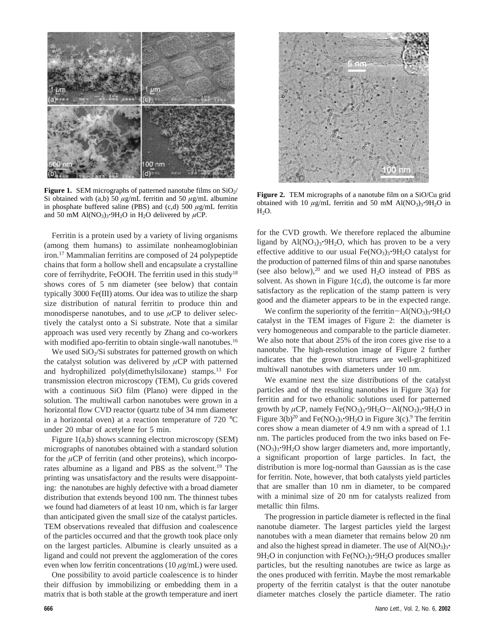

**Figure 1.** SEM micrographs of patterned nanotube films on  $SiO<sub>2</sub>/$ Si obtained with (a,b) 50  $\mu$ g/mL ferritin and 50  $\mu$ g/mL albumine in phosphate buffered saline (PBS) and (c,d) 500 *µ*g/mL ferritin and 50 mM Al(NO<sub>3</sub>)<sub>3</sub>.9H<sub>2</sub>O in H<sub>2</sub>O delivered by  $\mu$ CP.

Ferritin is a protein used by a variety of living organisms (among them humans) to assimilate nonheamoglobinian iron.17 Mammalian ferritins are composed of 24 polypeptide chains that form a hollow shell and encapsulate a crystalline core of ferrihydrite, FeOOH. The ferritin used in this study<sup>18</sup> shows cores of 5 nm diameter (see below) that contain typically 3000 Fe(III) atoms. Our idea was to utilize the sharp size distribution of natural ferritin to produce thin and monodisperse nanotubes, and to use  $\mu$ CP to deliver selectively the catalyst onto a Si substrate. Note that a similar approach was used very recently by Zhang and co-workers with modified apo-ferritin to obtain single-wall nanotubes.<sup>16</sup>

We used  $SiO<sub>2</sub>/Si$  substrates for patterned growth on which the catalyst solution was delivered by *µ*CP with patterned and hydrophilized poly(dimethylsiloxane) stamps.13 For transmission electron microscopy (TEM), Cu grids covered with a continuous SiO film (Plano) were dipped in the solution. The multiwall carbon nanotubes were grown in a horizontal flow CVD reactor (quartz tube of 34 mm diameter in a horizontal oven) at a reaction temperature of 720  $^{\circ}$ C under 20 mbar of acetylene for 5 min.

Figure 1(a,b) shows scanning electron microscopy (SEM) micrographs of nanotubes obtained with a standard solution for the  $\mu$ CP of ferritin (and other proteins), which incorporates albumine as a ligand and PBS as the solvent.19 The printing was unsatisfactory and the results were disappointing: the nanotubes are highly defective with a broad diameter distribution that extends beyond 100 nm. The thinnest tubes we found had diameters of at least 10 nm, which is far larger than anticipated given the small size of the catalyst particles. TEM observations revealed that diffusion and coalescence of the particles occurred and that the growth took place only on the largest particles. Albumine is clearly unsuited as a ligand and could not prevent the agglomeration of the cores even when low ferritin concentrations (10 *µ*g/mL) were used.

One possibility to avoid particle coalescence is to hinder their diffusion by immobilizing or embedding them in a matrix that is both stable at the growth temperature and inert



**Figure 2.** TEM micrographs of a nanotube film on a SiO/Cu grid obtained with 10  $\mu$ g/mL ferritin and 50 mM Al(NO<sub>3</sub>)<sub>3</sub>·9H<sub>2</sub>O in  $H_2O$ .

for the CVD growth. We therefore replaced the albumine ligand by  $Al(NO<sub>3</sub>)<sub>3</sub>·9H<sub>2</sub>O$ , which has proven to be a very effective additive to our usual  $Fe(NO<sub>3</sub>)<sub>3</sub>·9H<sub>2</sub>O$  catalyst for the production of patterned films of thin and sparse nanotubes (see also below), $20$  and we used H<sub>2</sub>O instead of PBS as solvent. As shown in Figure  $1(c,d)$ , the outcome is far more satisfactory as the replication of the stamp pattern is very good and the diameter appears to be in the expected range.

We confirm the superiority of the ferritin- $Al(NO<sub>3</sub>)<sub>3</sub>·9H<sub>2</sub>O$ catalyst in the TEM images of Figure 2: the diameter is very homogeneous and comparable to the particle diameter. We also note that about 25% of the iron cores give rise to a nanotube. The high-resolution image of Figure 2 further indicates that the grown structures are well-graphitized multiwall nanotubes with diameters under 10 nm.

We examine next the size distributions of the catalyst particles and of the resulting nanotubes in Figure 3(a) for ferritin and for two ethanolic solutions used for patterned growth by  $\mu$ CP, namely Fe(NO<sub>3</sub>)<sub>3</sub><sup>•9</sup>H<sub>2</sub>O-Al(NO<sub>3</sub>)<sub>3</sub><sup>•9</sup>H<sub>2</sub>O in Figure 3(b)<sup>20</sup> and Fe(NO<sub>3</sub>)<sub>3</sub>·9H<sub>2</sub>O in Figure 3(c).<sup>9</sup> The ferritin cores show a mean diameter of 4.9 nm with a spread of 1.1 nm. The particles produced from the two inks based on Fe-  $(NO<sub>3</sub>)<sub>3</sub>·9H<sub>2</sub>O$  show larger diameters and, more importantly, a significant proportion of large particles. In fact, the distribution is more log-normal than Gaussian as is the case for ferritin. Note, however, that both catalysts yield particles that are smaller than 10 nm in diameter, to be compared with a minimal size of 20 nm for catalysts realized from metallic thin films.

The progression in particle diameter is reflected in the final nanotube diameter. The largest particles yield the largest nanotubes with a mean diameter that remains below 20 nm and also the highest spread in diameter. The use of  $Al(NO<sub>3</sub>)<sub>3</sub>$ .  $9H_2O$  in conjunction with Fe(NO<sub>3</sub>)<sub>3</sub> $\cdot$ 9H<sub>2</sub>O produces smaller particles, but the resulting nanotubes are twice as large as the ones produced with ferritin. Maybe the most remarkable property of the ferritin catalyst is that the outer nanotube diameter matches closely the particle diameter. The ratio